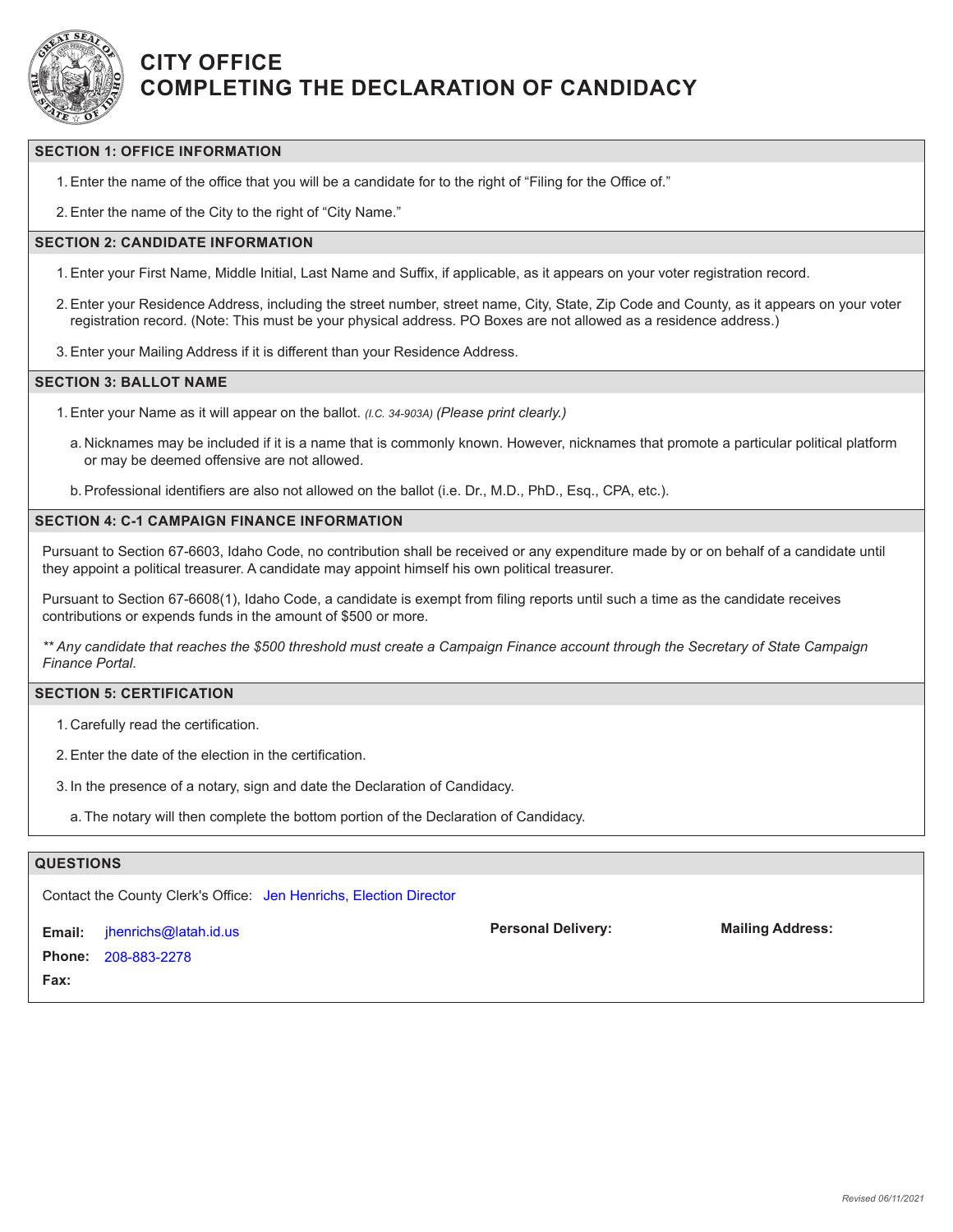

## **CITY OFFICE COMPLETING THE DECLARATION OF CANDIDACY**

#### **SECTION 1: OFFICE INFORMATION**

1.Enter the name of the office that you will be a candidate for to the right of "Filing for the Office of."

2.Enter the name of the City to the right of "City Name."

#### **SECTION 2: CANDIDATE INFORMATION**

- 1.Enter your First Name, Middle Initial, Last Name and Suffix, if applicable, as it appears on your voter registration record.
- 2.Enter your Residence Address, including the street number, street name, City, State, Zip Code and County, as it appears on your voter registration record. (Note: This must be your physical address. PO Boxes are not allowed as a residence address.)
- 3.Enter your Mailing Address if it is different than your Residence Address.

#### **SECTION 3: BALLOT NAME**

- 1.Enter your Name as it will appear on the ballot. *(I.C. 34-903A) (Please print clearly.)*
	- a. Nicknames may be included if it is a name that is commonly known. However, nicknames that promote a particular political platform or may be deemed offensive are not allowed.
	- b.Professional identifiers are also not allowed on the ballot (i.e. Dr., M.D., PhD., Esq., CPA, etc.).

#### **SECTION 4: C-1 CAMPAIGN FINANCE INFORMATION**

Pursuant to Section 67-6603, Idaho Code, no contribution shall be received or any expenditure made by or on behalf of a candidate until they appoint a political treasurer. A candidate may appoint himself his own political treasurer.

Pursuant to Section 67-6608(1), Idaho Code, a candidate is exempt from filing reports until such a time as the candidate receives contributions or expends funds in the amount of \$500 or more.

*\*\* Any candidate that reaches the \$500 threshold must create a Campaign Finance account through the Secretary of State Campaign Finance Portal.*

**Personal Delivery: Mailing Address:**

#### **SECTION 5: CERTIFICATION**

- 1. Carefully read the certification.
- 2.Enter the date of the election in the certification.
- 3. In the presence of a notary, sign and date the Declaration of Candidacy.
	- a. The notary will then complete the bottom portion of the Declaration of Candidacy.

#### **QUESTIONS**

Contact the County Clerk's Office: Jen Henrichs, Election Director

**Email: Phone:** 208-883-2278**Fax:** jhenrichs@latah.id.us